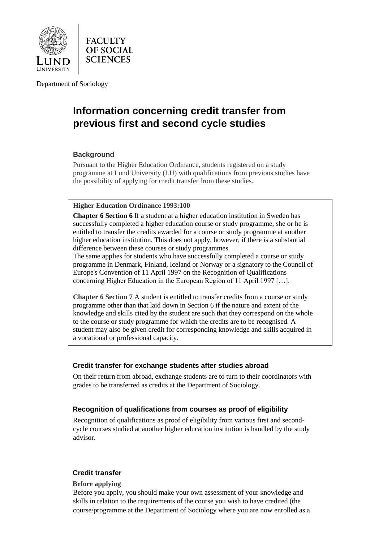

**FACULTY OF SOCIAL SCIENCES** 

Department of Sociology

# **Information concerning credit transfer from previous first and second cycle studies**

# **Background**

Pursuant to the Higher Education Ordinance, students registered on a study programme at Lund University (LU) with qualifications from previous studies have the possibility of applying for credit transfer from these studies.

## **Higher Education Ordinance 1993:100**

**Chapter 6 Section 6** If a student at a higher education institution in Sweden has successfully completed a higher education course or study programme, she or he is entitled to transfer the credits awarded for a course or study programme at another higher education institution. This does not apply, however, if there is a substantial difference between these courses or study programmes.

The same applies for students who have successfully completed a course or study programme in Denmark, Finland, Iceland or Norway or a signatory to the Council of Europe's Convention of 11 April 1997 on the Recognition of Qualifications concerning Higher Education in the European Region of 11 April 1997 […].

**Chapter 6 Section 7** A student is entitled to transfer credits from a course or study programme other than that laid down in Section 6 if the nature and extent of the knowledge and skills cited by the student are such that they correspond on the whole to the course or study programme for which the credits are to be recognised. A student may also be given credit for corresponding knowledge and skills acquired in a vocational or professional capacity.

## **Credit transfer for exchange students after studies abroad**

On their return from abroad, exchange students are to turn to their coordinators with grades to be transferred as credits at the Department of Sociology.

# **Recognition of qualifications from courses as proof of eligibility**

Recognition of qualifications as proof of eligibility from various first and secondcycle courses studied at another higher education institution is handled by the study advisor.

# **Credit transfer**

#### **Before applying**

Before you apply, you should make your own assessment of your knowledge and skills in relation to the requirements of the course you wish to have credited (the course/programme at the Department of Sociology where you are now enrolled as a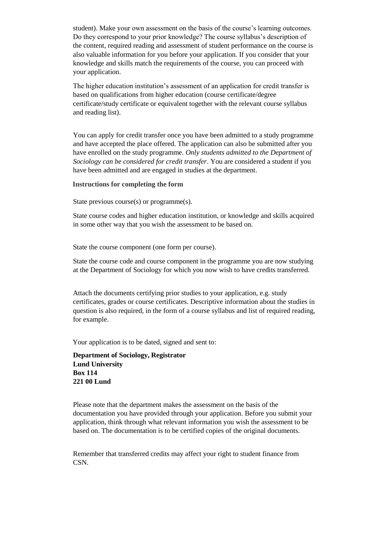student). Make your own assessment on the basis of the course's learning outcomes. Do they correspond to your prior knowledge? The course syllabus's description of the content, required reading and assessment of student performance on the course is also valuable information for you before your application. If you consider that your knowledge and skills match the requirements of the course, you can proceed with your application.

The higher education institution's assessment of an application for credit transfer is based on qualifications from higher education (course certificate/degree certificate/study certificate or equivalent together with the relevant course syllabus and reading list).

You can apply for credit transfer once you have been admitted to a study programme and have accepted the place offered. The application can also be submitted after you have enrolled on the study programme. *Only students admitted to the Department of Sociology can be considered for credit transfer*. You are considered a student if you have been admitted and are engaged in studies at the department.

#### **Instructions for completing the form**

State previous course(s) or programme(s).

State course codes and higher education institution, or knowledge and skills acquired in some other way that you wish the assessment to be based on.

State the course component (one form per course).

State the course code and course component in the programme you are now studying at the Department of Sociology for which you now wish to have credits transferred.

Attach the documents certifying prior studies to your application, e.g. study certificates, grades or course certificates. Descriptive information about the studies in question is also required, in the form of a course syllabus and list of required reading, for example.

Your application is to be dated, signed and sent to:

**Department of Sociology, Registrator Lund University Box 114 221 00 Lund** 

Please note that the department makes the assessment on the basis of the documentation you have provided through your application. Before you submit your application, think through what relevant information you wish the assessment to be based on. The documentation is to be certified copies of the original documents.

Remember that transferred credits may affect your right to student finance from CSN.